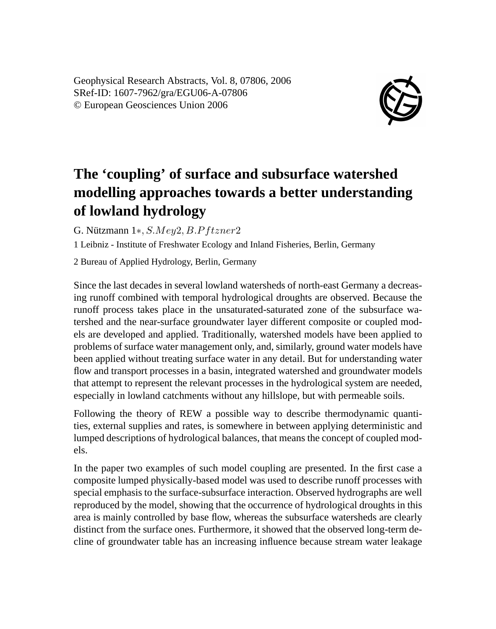Geophysical Research Abstracts, Vol. 8, 07806, 2006 SRef-ID: 1607-7962/gra/EGU06-A-07806 © European Geosciences Union 2006



## **The 'coupling' of surface and subsurface watershed modelling approaches towards a better understanding of lowland hydrology**

G. Nützmann  $1*, SMey2, B.Pftzner2$ 

1 Leibniz - Institute of Freshwater Ecology and Inland Fisheries, Berlin, Germany

2 Bureau of Applied Hydrology, Berlin, Germany

Since the last decades in several lowland watersheds of north-east Germany a decreasing runoff combined with temporal hydrological droughts are observed. Because the runoff process takes place in the unsaturated-saturated zone of the subsurface watershed and the near-surface groundwater layer different composite or coupled models are developed and applied. Traditionally, watershed models have been applied to problems of surface water management only, and, similarly, ground water models have been applied without treating surface water in any detail. But for understanding water flow and transport processes in a basin, integrated watershed and groundwater models that attempt to represent the relevant processes in the hydrological system are needed, especially in lowland catchments without any hillslope, but with permeable soils.

Following the theory of REW a possible way to describe thermodynamic quantities, external supplies and rates, is somewhere in between applying deterministic and lumped descriptions of hydrological balances, that means the concept of coupled models.

In the paper two examples of such model coupling are presented. In the first case a composite lumped physically-based model was used to describe runoff processes with special emphasis to the surface-subsurface interaction. Observed hydrographs are well reproduced by the model, showing that the occurrence of hydrological droughts in this area is mainly controlled by base flow, whereas the subsurface watersheds are clearly distinct from the surface ones. Furthermore, it showed that the observed long-term decline of groundwater table has an increasing influence because stream water leakage